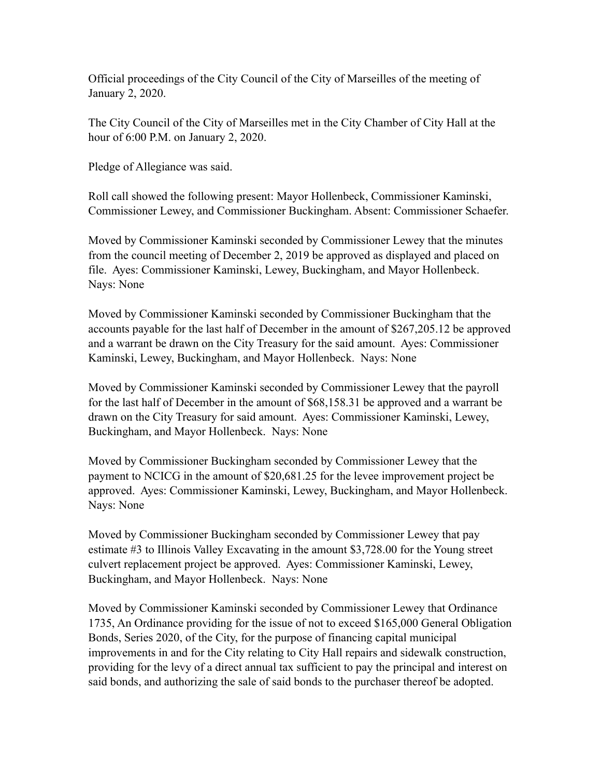Official proceedings of the City Council of the City of Marseilles of the meeting of January 2, 2020.

The City Council of the City of Marseilles met in the City Chamber of City Hall at the hour of 6:00 P.M. on January 2, 2020.

Pledge of Allegiance was said.

Roll call showed the following present: Mayor Hollenbeck, Commissioner Kaminski, Commissioner Lewey, and Commissioner Buckingham. Absent: Commissioner Schaefer.

Moved by Commissioner Kaminski seconded by Commissioner Lewey that the minutes from the council meeting of December 2, 2019 be approved as displayed and placed on file. Ayes: Commissioner Kaminski, Lewey, Buckingham, and Mayor Hollenbeck. Nays: None

Moved by Commissioner Kaminski seconded by Commissioner Buckingham that the accounts payable for the last half of December in the amount of \$267,205.12 be approved and a warrant be drawn on the City Treasury for the said amount. Ayes: Commissioner Kaminski, Lewey, Buckingham, and Mayor Hollenbeck. Nays: None

Moved by Commissioner Kaminski seconded by Commissioner Lewey that the payroll for the last half of December in the amount of \$68,158.31 be approved and a warrant be drawn on the City Treasury for said amount. Ayes: Commissioner Kaminski, Lewey, Buckingham, and Mayor Hollenbeck. Nays: None

Moved by Commissioner Buckingham seconded by Commissioner Lewey that the payment to NCICG in the amount of \$20,681.25 for the levee improvement project be approved. Ayes: Commissioner Kaminski, Lewey, Buckingham, and Mayor Hollenbeck. Nays: None

Moved by Commissioner Buckingham seconded by Commissioner Lewey that pay estimate #3 to Illinois Valley Excavating in the amount \$3,728.00 for the Young street culvert replacement project be approved. Ayes: Commissioner Kaminski, Lewey, Buckingham, and Mayor Hollenbeck. Nays: None

Moved by Commissioner Kaminski seconded by Commissioner Lewey that Ordinance 1735, An Ordinance providing for the issue of not to exceed \$165,000 General Obligation Bonds, Series 2020, of the City, for the purpose of financing capital municipal improvements in and for the City relating to City Hall repairs and sidewalk construction, providing for the levy of a direct annual tax sufficient to pay the principal and interest on said bonds, and authorizing the sale of said bonds to the purchaser thereof be adopted.